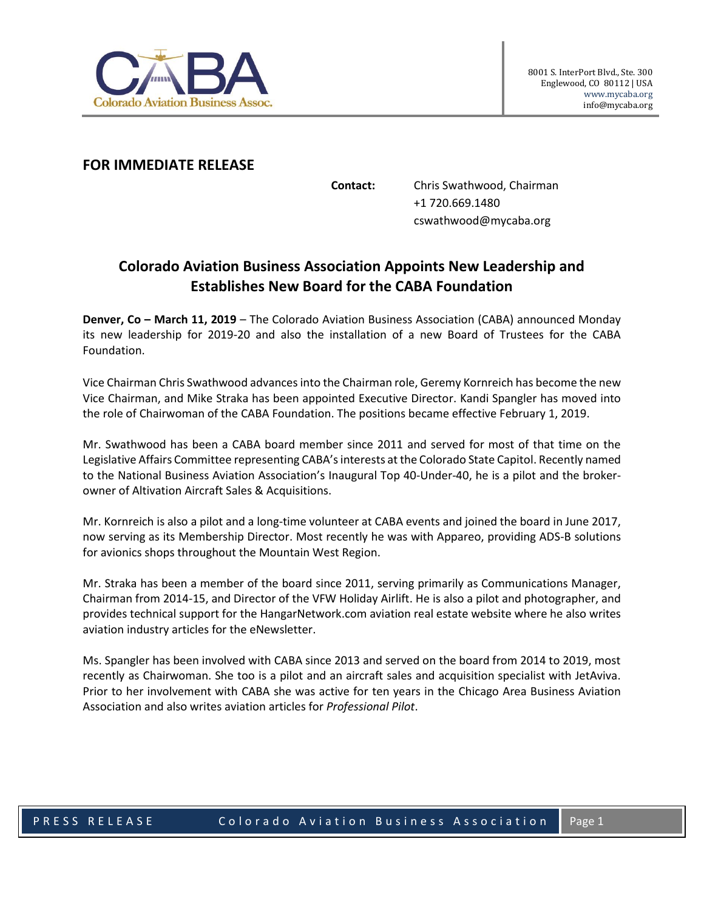

## **FOR IMMEDIATE RELEASE**

**Contact:** Chris Swathwood, Chairman +1 720.669.1480 cswathwood@mycaba.org

## **Colorado Aviation Business Association Appoints New Leadership and Establishes New Board for the CABA Foundation**

**Denver, Co – March 11, 2019** – The Colorado Aviation Business Association (CABA) announced Monday its new leadership for 2019-20 and also the installation of a new Board of Trustees for the CABA Foundation.

Vice Chairman Chris Swathwood advancesinto the Chairman role, Geremy Kornreich has become the new Vice Chairman, and Mike Straka has been appointed Executive Director. Kandi Spangler has moved into the role of Chairwoman of the CABA Foundation. The positions became effective February 1, 2019.

Mr. Swathwood has been a CABA board member since 2011 and served for most of that time on the Legislative Affairs Committee representing CABA's interests at the Colorado State Capitol. Recently named to the National Business Aviation Association's Inaugural Top 40-Under-40, he is a pilot and the brokerowner of Altivation Aircraft Sales & Acquisitions.

Mr. Kornreich is also a pilot and a long-time volunteer at CABA events and joined the board in June 2017, now serving as its Membership Director. Most recently he was with Appareo, providing ADS-B solutions for avionics shops throughout the Mountain West Region.

Mr. Straka has been a member of the board since 2011, serving primarily as Communications Manager, Chairman from 2014-15, and Director of the VFW Holiday Airlift. He is also a pilot and photographer, and provides technical support for the HangarNetwork.com aviation real estate website where he also writes aviation industry articles for the eNewsletter.

Ms. Spangler has been involved with CABA since 2013 and served on the board from 2014 to 2019, most recently as Chairwoman. She too is a pilot and an aircraft sales and acquisition specialist with JetAviva. Prior to her involvement with CABA she was active for ten years in the Chicago Area Business Aviation Association and also writes aviation articles for *Professional Pilot*.